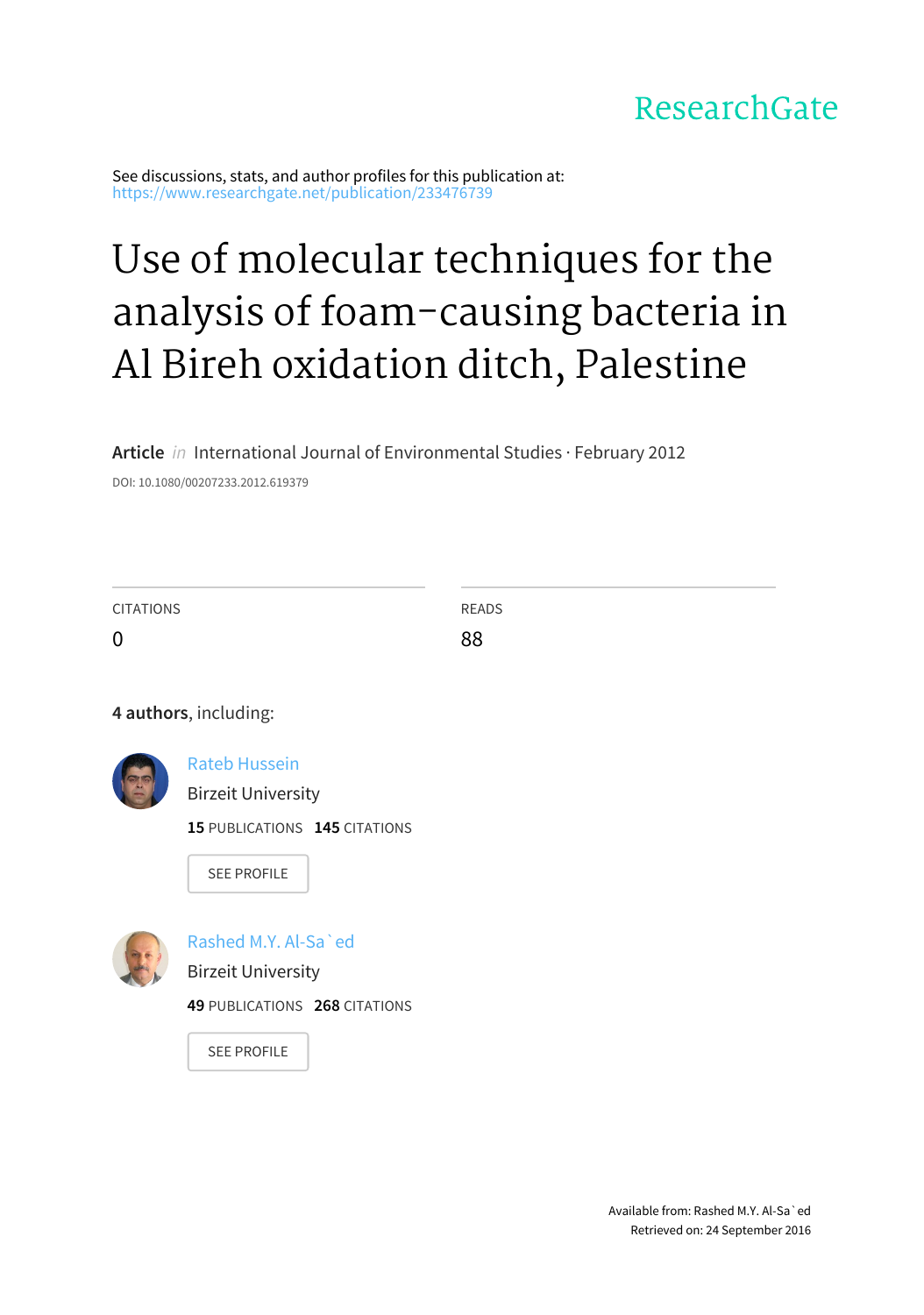# ResearchGate

See discussions, stats, and author profiles for this publication at: [https://www.researchgate.net/publication/233476739](https://www.researchgate.net/publication/233476739_Use_of_molecular_techniques_for_the_analysis_of_foam-causing_bacteria_in_Al_Bireh_oxidation_ditch_Palestine?enrichId=rgreq-a1c6cd2c8e39fe141bd6f2028069cbd3-XXX&enrichSource=Y292ZXJQYWdlOzIzMzQ3NjczOTtBUzo5OTY1NjYwODUxODE1M0AxNDAwNzcxMzk1Njg2&el=1_x_2)

# Use of molecular techniques for the analysis of [foam-causing](https://www.researchgate.net/publication/233476739_Use_of_molecular_techniques_for_the_analysis_of_foam-causing_bacteria_in_Al_Bireh_oxidation_ditch_Palestine?enrichId=rgreq-a1c6cd2c8e39fe141bd6f2028069cbd3-XXX&enrichSource=Y292ZXJQYWdlOzIzMzQ3NjczOTtBUzo5OTY1NjYwODUxODE1M0AxNDAwNzcxMzk1Njg2&el=1_x_3) bacteria in Al Bireh oxidation ditch, Palestine

**Article** in International Journal of Environmental Studies · February 2012 DOI: 10.1080/00207233.2012.619379

| <b>CITATIONS</b> |                               | <b>READS</b> |
|------------------|-------------------------------|--------------|
| $\mathbf 0$      |                               | 88           |
|                  |                               |              |
|                  | 4 authors, including:         |              |
|                  | <b>Rateb Hussein</b>          |              |
|                  | <b>Birzeit University</b>     |              |
|                  | 15 PUBLICATIONS 145 CITATIONS |              |
|                  | <b>SEE PROFILE</b>            |              |
|                  | Rashed M.Y. Al-Sa`ed          |              |
|                  | <b>Birzeit University</b>     |              |
|                  | 49 PUBLICATIONS 268 CITATIONS |              |
|                  | <b>SEE PROFILE</b>            |              |
|                  |                               |              |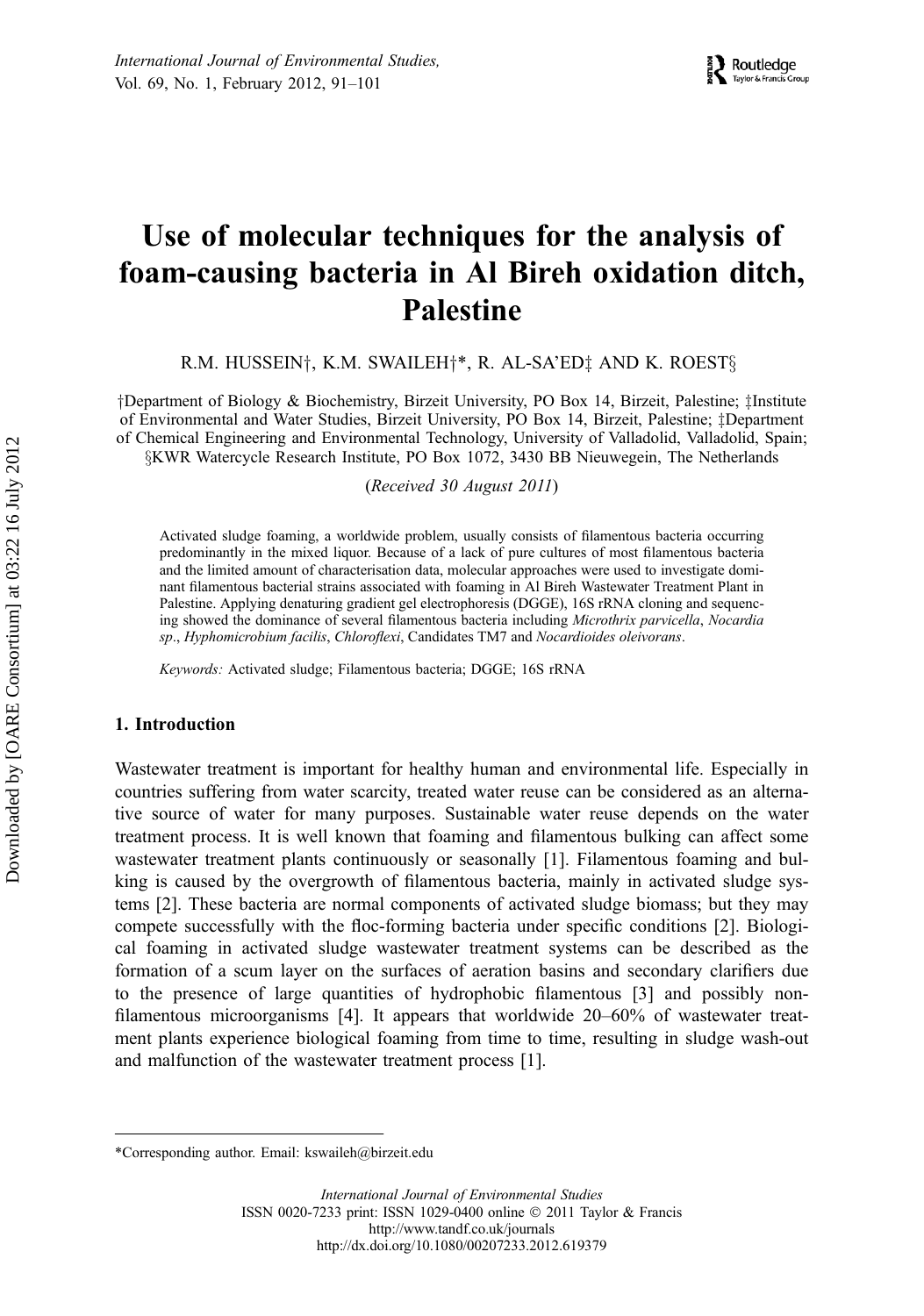# Use of molecular techniques for the analysis of foam-causing bacteria in Al Bireh oxidation ditch, Palestine

R.M. HUSSEIN†, K.M. SWAILEH†\*, R. AL-SA'ED‡ AND K. ROEST $\S$ 

†Department of Biology & Biochemistry, Birzeit University, PO Box 14, Birzeit, Palestine; ‡Institute of Environmental and Water Studies, Birzeit University, PO Box 14, Birzeit, Palestine; *Department* of Chemical Engineering and Environmental Technology, University of Valladolid, Valladolid, Spain; xKWR Watercycle Research Institute, PO Box 1072, 3430 BB Nieuwegein, The Netherlands

(Received 30 August 2011)

Activated sludge foaming, a worldwide problem, usually consists of filamentous bacteria occurring predominantly in the mixed liquor. Because of a lack of pure cultures of most filamentous bacteria and the limited amount of characterisation data, molecular approaches were used to investigate dominant filamentous bacterial strains associated with foaming in Al Bireh Wastewater Treatment Plant in Palestine. Applying denaturing gradient gel electrophoresis (DGGE), 16S rRNA cloning and sequencing showed the dominance of several filamentous bacteria including Microthrix parvicella, Nocardia sp., Hyphomicrobium facilis, Chloroflexi, Candidates TM7 and Nocardioides oleivorans.

Keywords: Activated sludge; Filamentous bacteria; DGGE; 16S rRNA

# 1. Introduction

Wastewater treatment is important for healthy human and environmental life. Especially in countries suffering from water scarcity, treated water reuse can be considered as an alternative source of water for many purposes. Sustainable water reuse depends on the water treatment process. It is well known that foaming and filamentous bulking can affect some wastewater treatment plants continuously or seasonally [1]. Filamentous foaming and bulking is caused by the overgrowth of filamentous bacteria, mainly in activated sludge systems [2]. These bacteria are normal components of activated sludge biomass; but they may compete successfully with the floc-forming bacteria under specific conditions [2]. Biological foaming in activated sludge wastewater treatment systems can be described as the formation of a scum layer on the surfaces of aeration basins and secondary clarifiers due to the presence of large quantities of hydrophobic filamentous [3] and possibly nonfilamentous microorganisms [4]. It appears that worldwide 20–60% of wastewater treatment plants experience biological foaming from time to time, resulting in sludge wash-out and malfunction of the wastewater treatment process [1].

<sup>\*</sup>Corresponding author. Email: kswaileh@birzeit.edu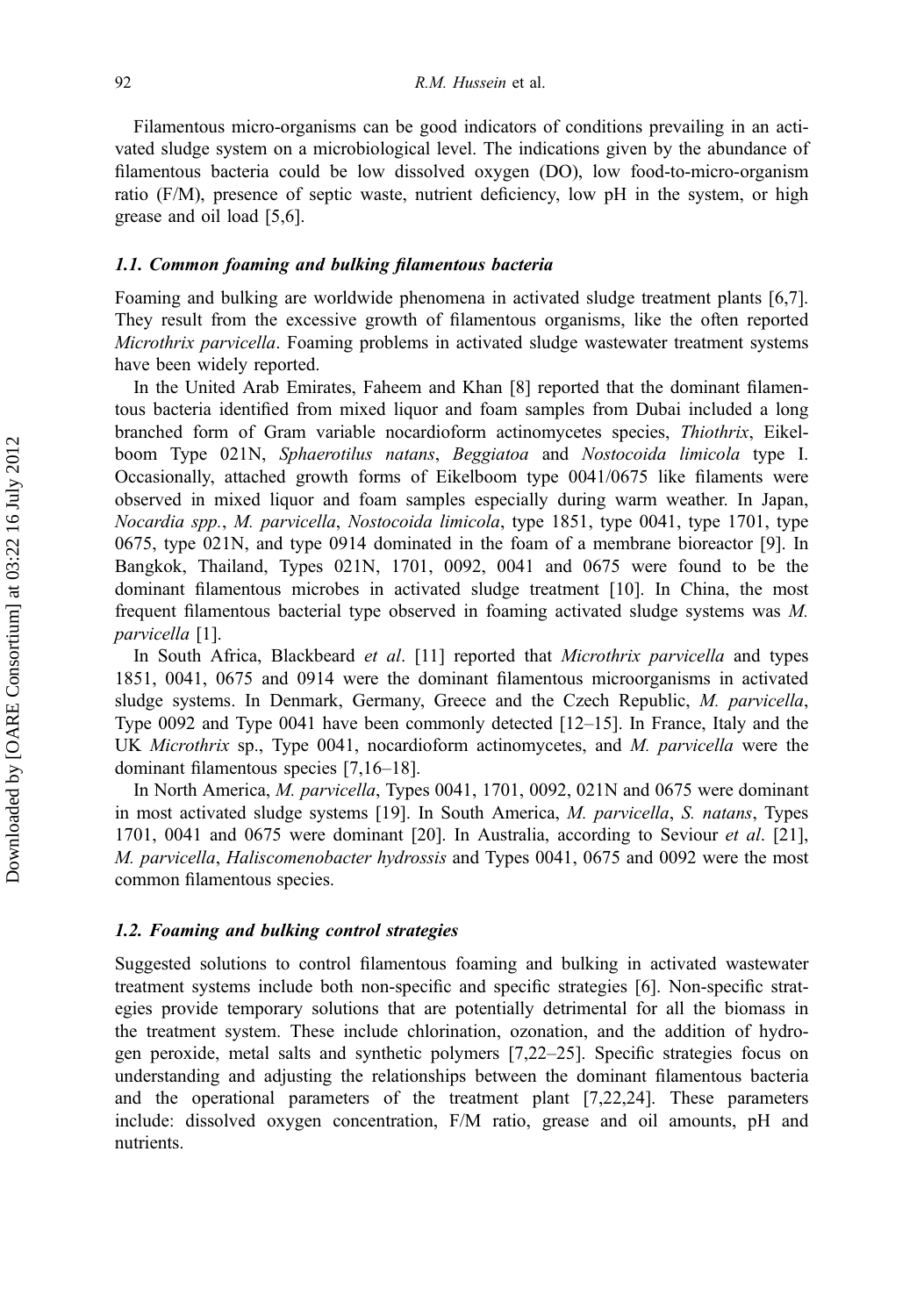Filamentous micro-organisms can be good indicators of conditions prevailing in an activated sludge system on a microbiological level. The indications given by the abundance of filamentous bacteria could be low dissolved oxygen (DO), low food-to-micro-organism ratio (F/M), presence of septic waste, nutrient deficiency, low pH in the system, or high grease and oil load [5,6].

## 1.1. Common foaming and bulking filamentous bacteria

Foaming and bulking are worldwide phenomena in activated sludge treatment plants [6,7]. They result from the excessive growth of filamentous organisms, like the often reported Microthrix parvicella. Foaming problems in activated sludge wastewater treatment systems have been widely reported.

In the United Arab Emirates, Faheem and Khan [8] reported that the dominant filamentous bacteria identified from mixed liquor and foam samples from Dubai included a long branched form of Gram variable nocardioform actinomycetes species, Thiothrix, Eikelboom Type 021N, Sphaerotilus natans, Beggiatoa and Nostocoida limicola type I. Occasionally, attached growth forms of Eikelboom type 0041/0675 like filaments were observed in mixed liquor and foam samples especially during warm weather. In Japan, Nocardia spp., M. parvicella, Nostocoida limicola, type 1851, type 0041, type 1701, type 0675, type 021N, and type 0914 dominated in the foam of a membrane bioreactor [9]. In Bangkok, Thailand, Types 021N, 1701, 0092, 0041 and 0675 were found to be the dominant filamentous microbes in activated sludge treatment [10]. In China, the most frequent filamentous bacterial type observed in foaming activated sludge systems was M. parvicella [1].

In South Africa, Blackbeard *et al.* [11] reported that *Microthrix parvicella* and types 1851, 0041, 0675 and 0914 were the dominant filamentous microorganisms in activated sludge systems. In Denmark, Germany, Greece and the Czech Republic, M. parvicella, Type 0092 and Type 0041 have been commonly detected [12–15]. In France, Italy and the UK Microthrix sp., Type 0041, nocardioform actinomycetes, and M. parvicella were the dominant filamentous species [7,16–18].

In North America, M. parvicella, Types 0041, 1701, 0092, 021N and 0675 were dominant in most activated sludge systems [19]. In South America, M. parvicella, S. natans, Types 1701, 0041 and 0675 were dominant [20]. In Australia, according to Seviour et al. [21], M. parvicella, Haliscomenobacter hydrossis and Types 0041, 0675 and 0092 were the most common filamentous species.

#### 1.2. Foaming and bulking control strategies

Suggested solutions to control filamentous foaming and bulking in activated wastewater treatment systems include both non-specific and specific strategies [6]. Non-specific strategies provide temporary solutions that are potentially detrimental for all the biomass in the treatment system. These include chlorination, ozonation, and the addition of hydrogen peroxide, metal salts and synthetic polymers [7,22–25]. Specific strategies focus on understanding and adjusting the relationships between the dominant filamentous bacteria and the operational parameters of the treatment plant [7,22,24]. These parameters include: dissolved oxygen concentration, F/M ratio, grease and oil amounts, pH and nutrients.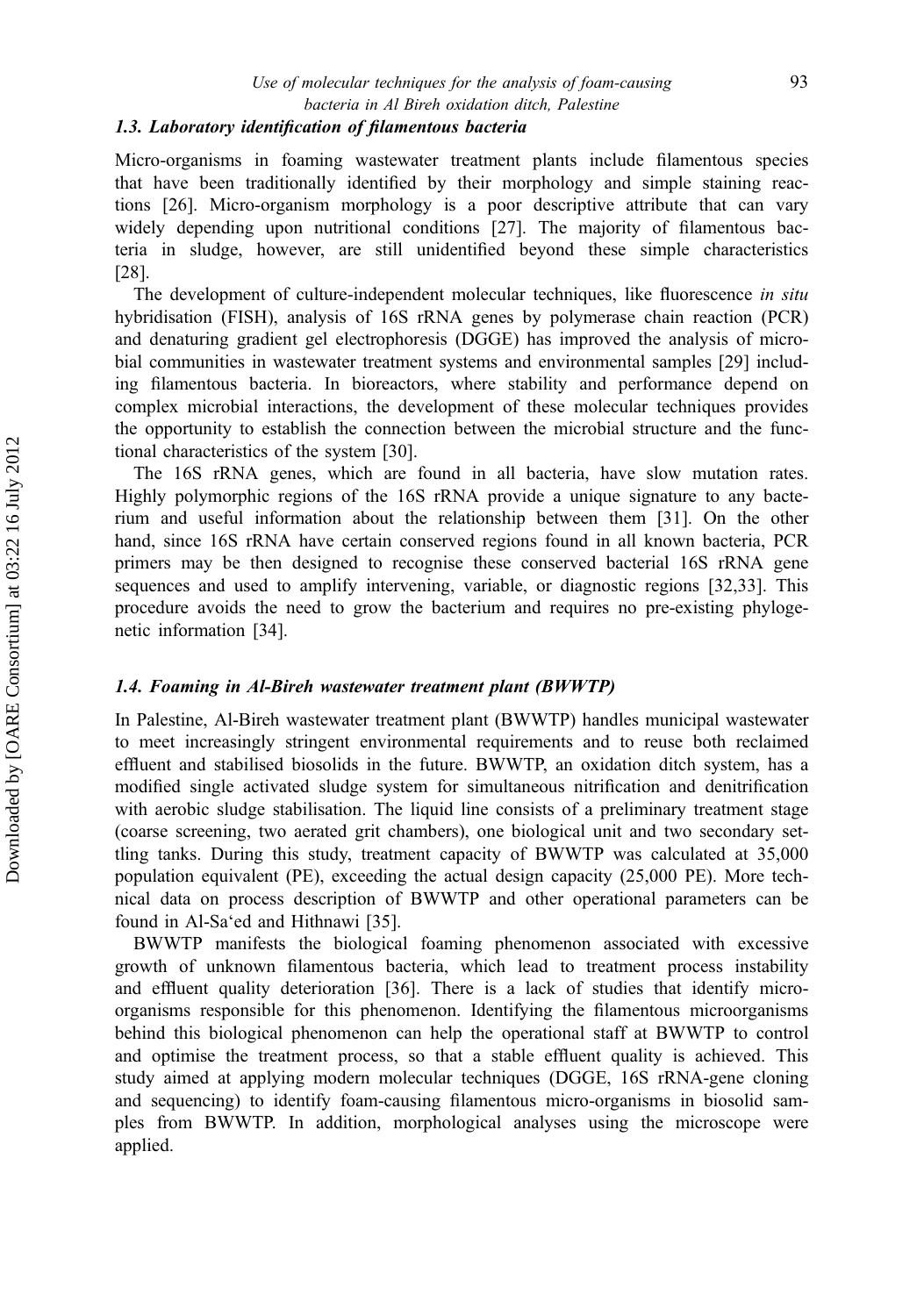# 1.3. Laboratory identification of filamentous bacteria

Micro-organisms in foaming wastewater treatment plants include filamentous species that have been traditionally identified by their morphology and simple staining reactions [26]. Micro-organism morphology is a poor descriptive attribute that can vary widely depending upon nutritional conditions [27]. The majority of filamentous bacteria in sludge, however, are still unidentified beyond these simple characteristics [28].

The development of culture-independent molecular techniques, like fluorescence in situ hybridisation (FISH), analysis of 16S rRNA genes by polymerase chain reaction (PCR) and denaturing gradient gel electrophoresis (DGGE) has improved the analysis of microbial communities in wastewater treatment systems and environmental samples [29] including filamentous bacteria. In bioreactors, where stability and performance depend on complex microbial interactions, the development of these molecular techniques provides the opportunity to establish the connection between the microbial structure and the functional characteristics of the system [30].

The 16S rRNA genes, which are found in all bacteria, have slow mutation rates. Highly polymorphic regions of the 16S rRNA provide a unique signature to any bacterium and useful information about the relationship between them [31]. On the other hand, since 16S rRNA have certain conserved regions found in all known bacteria, PCR primers may be then designed to recognise these conserved bacterial 16S rRNA gene sequences and used to amplify intervening, variable, or diagnostic regions [32,33]. This procedure avoids the need to grow the bacterium and requires no pre-existing phylogenetic information [34].

#### 1.4. Foaming in Al-Bireh wastewater treatment plant (BWWTP)

In Palestine, Al-Bireh wastewater treatment plant (BWWTP) handles municipal wastewater to meet increasingly stringent environmental requirements and to reuse both reclaimed effluent and stabilised biosolids in the future. BWWTP, an oxidation ditch system, has a modified single activated sludge system for simultaneous nitrification and denitrification with aerobic sludge stabilisation. The liquid line consists of a preliminary treatment stage (coarse screening, two aerated grit chambers), one biological unit and two secondary settling tanks. During this study, treatment capacity of BWWTP was calculated at 35,000 population equivalent (PE), exceeding the actual design capacity (25,000 PE). More technical data on process description of BWWTP and other operational parameters can be found in Al-Sa'ed and Hithnawi [35].

BWWTP manifests the biological foaming phenomenon associated with excessive growth of unknown filamentous bacteria, which lead to treatment process instability and effluent quality deterioration [36]. There is a lack of studies that identify microorganisms responsible for this phenomenon. Identifying the filamentous microorganisms behind this biological phenomenon can help the operational staff at BWWTP to control and optimise the treatment process, so that a stable effluent quality is achieved. This study aimed at applying modern molecular techniques (DGGE, 16S rRNA-gene cloning and sequencing) to identify foam-causing filamentous micro-organisms in biosolid samples from BWWTP. In addition, morphological analyses using the microscope were applied.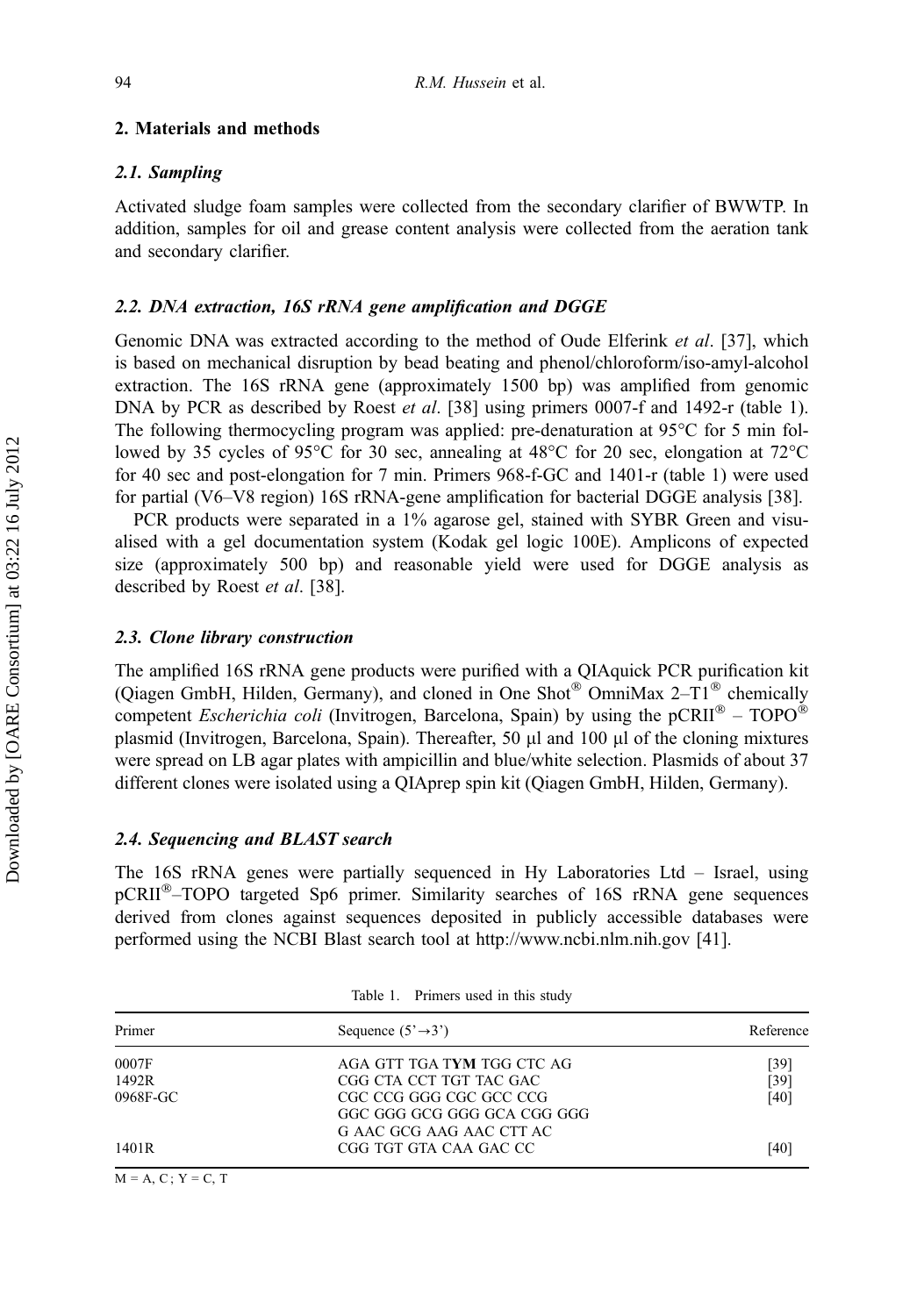## 2. Materials and methods

#### 2.1. Sampling

Activated sludge foam samples were collected from the secondary clarifier of BWWTP. In addition, samples for oil and grease content analysis were collected from the aeration tank and secondary clarifier.

#### 2.2. DNA extraction, 16S rRNA gene amplification and DGGE

Genomic DNA was extracted according to the method of Oude Elferink *et al.* [37], which is based on mechanical disruption by bead beating and phenol/chloroform/iso-amyl-alcohol extraction. The 16S rRNA gene (approximately 1500 bp) was amplified from genomic DNA by PCR as described by Roest *et al.* [38] using primers 0007-f and 1492-r (table 1). The following thermocycling program was applied: pre-denaturation at  $95^{\circ}$ C for 5 min followed by 35 cycles of 95 $\degree$ C for 30 sec, annealing at 48 $\degree$ C for 20 sec, elongation at 72 $\degree$ C for 40 sec and post-elongation for 7 min. Primers 968-f-GC and 1401-r (table 1) were used for partial (V6–V8 region) 16S rRNA-gene amplification for bacterial DGGE analysis [38].

PCR products were separated in a 1% agarose gel, stained with SYBR Green and visualised with a gel documentation system (Kodak gel logic 100E). Amplicons of expected size (approximately 500 bp) and reasonable yield were used for DGGE analysis as described by Roest et al. [38].

#### 2.3. Clone library construction

The amplified 16S rRNA gene products were purified with a QIAquick PCR purification kit (Qiagen GmbH, Hilden, Germany), and cloned in One Shot  $^{\circledR}$  OmniMax 2–T1 $^{\circledR}$  chemically competent *Escherichia coli* (Invitrogen, Barcelona, Spain) by using the pCRII<sup>®</sup> – TOPO<sup>®</sup> plasmid (Invitrogen, Barcelona, Spain). Thereafter, 50  $\mu$ l and 100  $\mu$ l of the cloning mixtures were spread on LB agar plates with ampicillin and blue/white selection. Plasmids of about 37 different clones were isolated using a QIAprep spin kit (Qiagen GmbH, Hilden, Germany).

#### 2.4. Sequencing and BLAST search

The 16S rRNA genes were partially sequenced in Hy Laboratories Ltd – Israel, using pCRII®-TOPO targeted Sp6 primer. Similarity searches of 16S rRNA gene sequences derived from clones against sequences deposited in publicly accessible databases were performed using the NCBI Blast search tool at http://www.ncbi.nlm.nih.gov [41].

| Primer   | Sequence $(5' \rightarrow 3')$                                                     | Reference |
|----------|------------------------------------------------------------------------------------|-----------|
| 0007F    | AGA GTT TGA TYM TGG CTC AG                                                         | [39]      |
| 1492R    | CGG CTA CCT TGT TAC GAC                                                            | [39]      |
| 0968F-GC | CGC CCG GGG CGC GCC CCG<br>GGC GGG GCG GGG GCA CGG GGG<br>G AAC GCG AAG AAC CTT AC | [40]      |
| 1401R    | CGG TGT GTA CAA GAC CC                                                             | [40]      |

Table 1. Primers used in this study

 $M = A$ , C; Y = C, T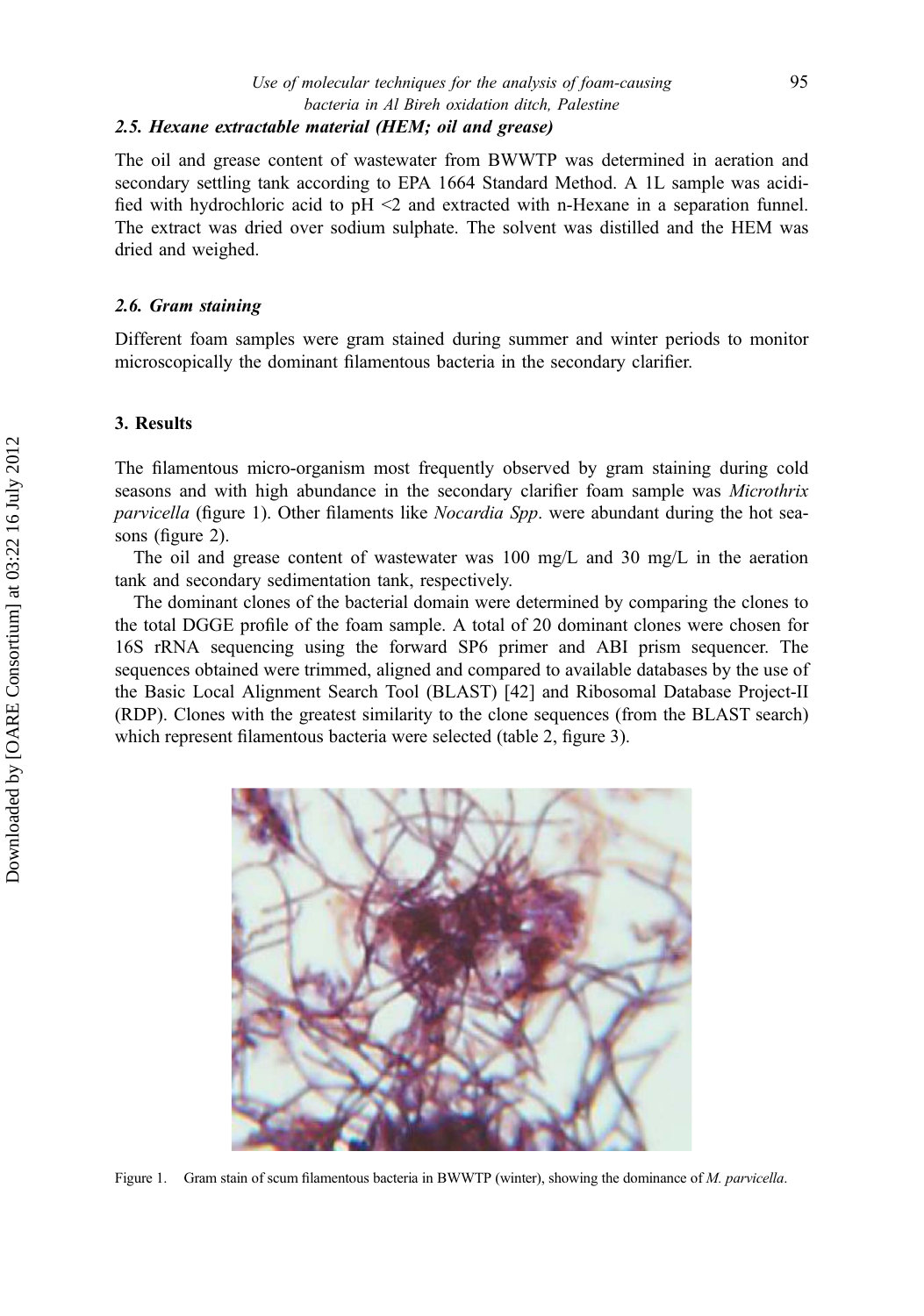# 2.5. Hexane extractable material (HEM; oil and grease)

The oil and grease content of wastewater from BWWTP was determined in aeration and secondary settling tank according to EPA 1664 Standard Method. A 1L sample was acidified with hydrochloric acid to  $pH \leq 2$  and extracted with n-Hexane in a separation funnel. The extract was dried over sodium sulphate. The solvent was distilled and the HEM was dried and weighed.

#### 2.6. Gram staining

Different foam samples were gram stained during summer and winter periods to monitor microscopically the dominant filamentous bacteria in the secondary clarifier.

# 3. Results

The filamentous micro-organism most frequently observed by gram staining during cold seasons and with high abundance in the secondary clarifier foam sample was Microthrix parvicella (figure 1). Other filaments like *Nocardia Spp*. were abundant during the hot seasons (figure 2).

The oil and grease content of wastewater was 100 mg/L and 30 mg/L in the aeration tank and secondary sedimentation tank, respectively.

The dominant clones of the bacterial domain were determined by comparing the clones to the total DGGE profile of the foam sample. A total of 20 dominant clones were chosen for 16S rRNA sequencing using the forward SP6 primer and ABI prism sequencer. The sequences obtained were trimmed, aligned and compared to available databases by the use of the Basic Local Alignment Search Tool (BLAST) [42] and Ribosomal Database Project-II (RDP). Clones with the greatest similarity to the clone sequences (from the BLAST search) which represent filamentous bacteria were selected (table 2, figure 3).



Figure 1. Gram stain of scum filamentous bacteria in BWWTP (winter), showing the dominance of M. parvicella.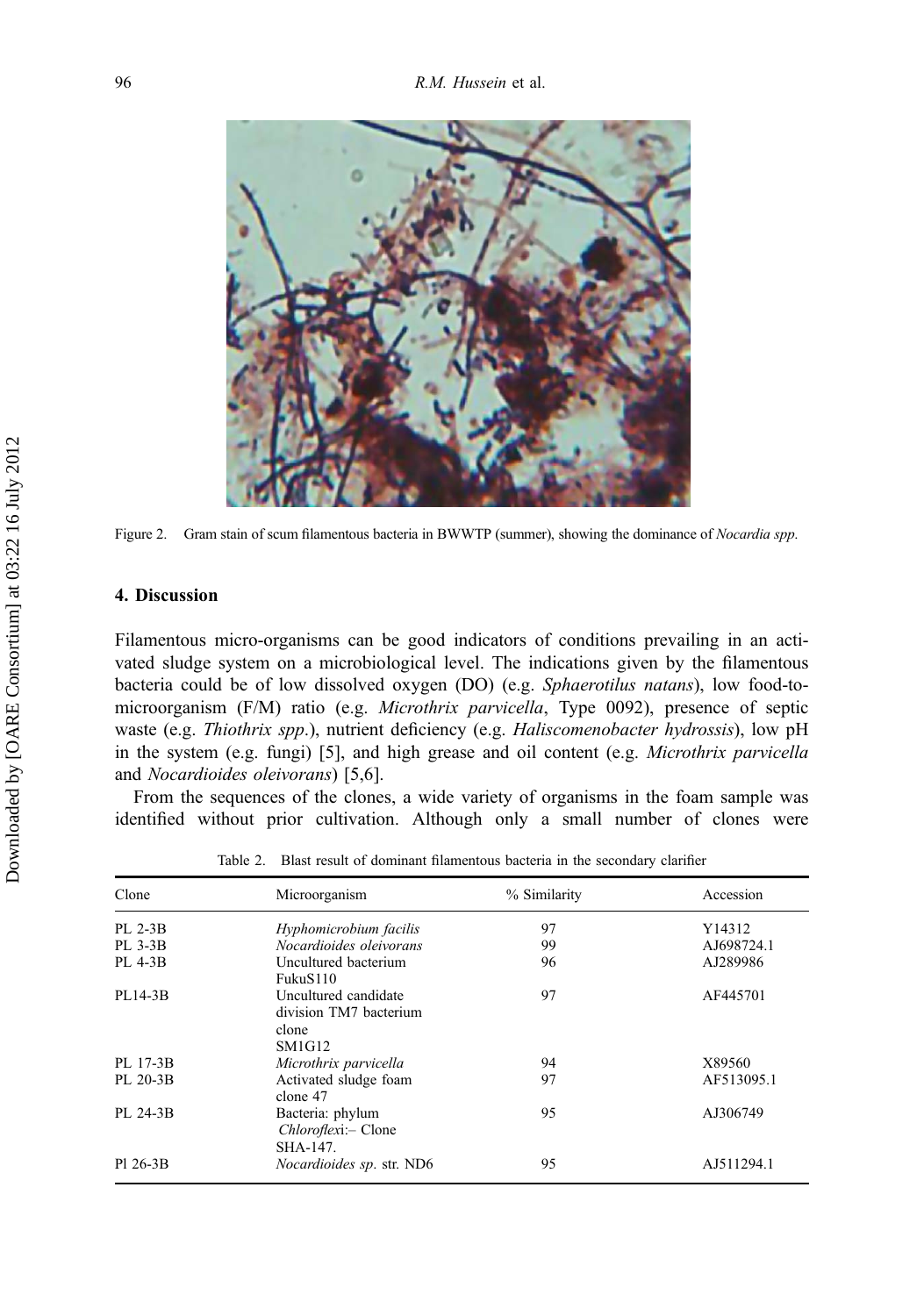

Figure 2. Gram stain of scum filamentous bacteria in BWWTP (summer), showing the dominance of Nocardia spp.

## 4. Discussion

Filamentous micro-organisms can be good indicators of conditions prevailing in an activated sludge system on a microbiological level. The indications given by the filamentous bacteria could be of low dissolved oxygen (DO) (e.g. Sphaerotilus natans), low food-tomicroorganism (F/M) ratio (e.g. Microthrix parvicella, Type 0092), presence of septic waste (e.g. Thiothrix spp.), nutrient deficiency (e.g. Haliscomenobacter hydrossis), low pH in the system (e.g. fungi) [5], and high grease and oil content (e.g. Microthrix parvicella and Nocardioides oleivorans) [5,6].

From the sequences of the clones, a wide variety of organisms in the foam sample was identified without prior cultivation. Although only a small number of clones were

| Clone    | Microorganism                                                            | % Similarity | Accession  |
|----------|--------------------------------------------------------------------------|--------------|------------|
| PL 2-3B  | Hyphomicrobium facilis                                                   | 97           | Y14312     |
| PL 3-3B  | Nocardioides oleivorans                                                  | 99           | AJ698724.1 |
| PL 4-3B  | Uncultured bacterium<br>FukuS110                                         | 96           | AJ289986   |
| PL14-3B  | Uncultured candidate<br>division TM7 bacterium<br>clone<br><b>SM1G12</b> | 97           | AF445701   |
| PL 17-3B | Microthrix parvicella                                                    | 94           | X89560     |
| PL 20-3B | Activated sludge foam<br>clone 47                                        | 97           | AF513095.1 |
| PL 24-3B | Bacteria: phylum<br>Chloroflexi:- Clone<br>SHA-147.                      | 95           | AJ306749   |
| P1 26-3B | Nocardioides sp. str. ND6                                                | 95           | AJ511294.1 |

Table 2. Blast result of dominant filamentous bacteria in the secondary clarifier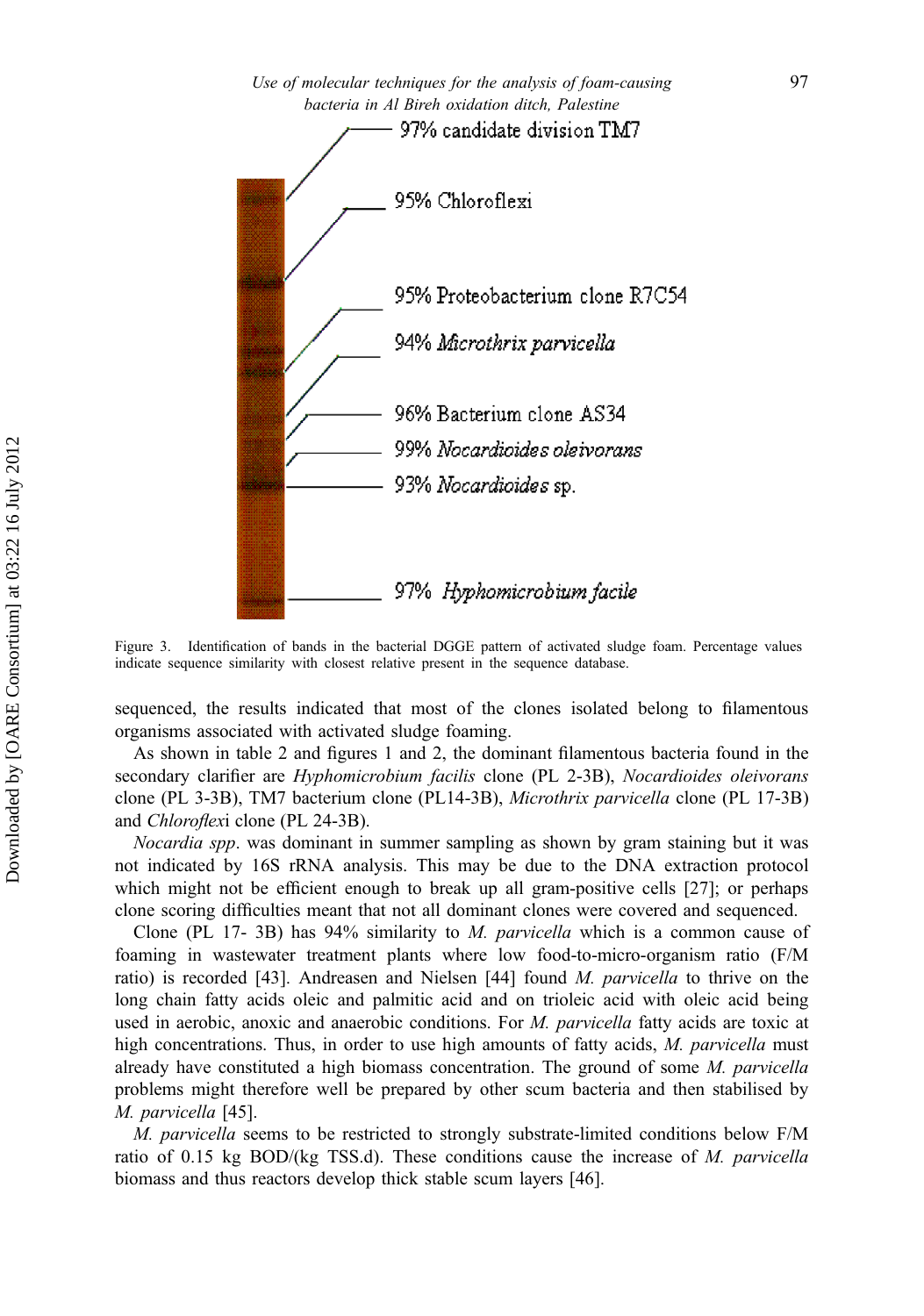

Figure 3. Identification of bands in the bacterial DGGE pattern of activated sludge foam. Percentage values indicate sequence similarity with closest relative present in the sequence database.

sequenced, the results indicated that most of the clones isolated belong to filamentous organisms associated with activated sludge foaming.

As shown in table 2 and figures 1 and 2, the dominant filamentous bacteria found in the secondary clarifier are *Hyphomicrobium facilis* clone (PL 2-3B), *Nocardioides oleivorans* clone (PL 3-3B), TM7 bacterium clone (PL14-3B), Microthrix parvicella clone (PL 17-3B) and Chloroflexi clone (PL 24-3B).

Nocardia spp. was dominant in summer sampling as shown by gram staining but it was not indicated by 16S rRNA analysis. This may be due to the DNA extraction protocol which might not be efficient enough to break up all gram-positive cells [27]; or perhaps clone scoring difficulties meant that not all dominant clones were covered and sequenced.

Clone (PL 17- 3B) has 94% similarity to *M. parvicella* which is a common cause of foaming in wastewater treatment plants where low food-to-micro-organism ratio (F/M ratio) is recorded [43]. Andreasen and Nielsen [44] found M. parvicella to thrive on the long chain fatty acids oleic and palmitic acid and on trioleic acid with oleic acid being used in aerobic, anoxic and anaerobic conditions. For M. parvicella fatty acids are toxic at high concentrations. Thus, in order to use high amounts of fatty acids, M. parvicella must already have constituted a high biomass concentration. The ground of some  $M$ . parvicella problems might therefore well be prepared by other scum bacteria and then stabilised by M. parvicella [45].

M. parvicella seems to be restricted to strongly substrate-limited conditions below F/M ratio of 0.15 kg BOD/(kg TSS.d). These conditions cause the increase of M. parvicella biomass and thus reactors develop thick stable scum layers [46].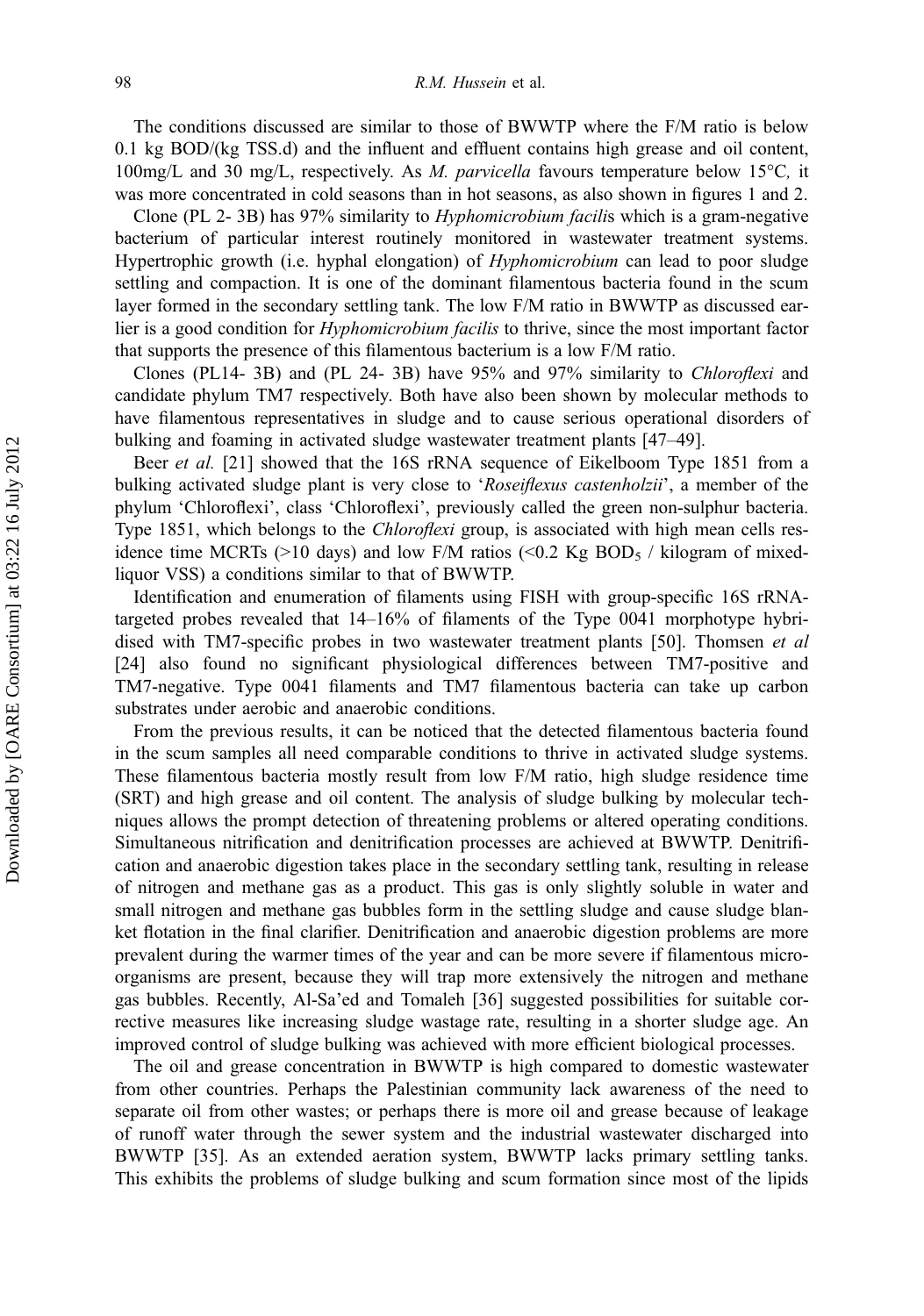The conditions discussed are similar to those of BWWTP where the F/M ratio is below 0.1 kg BOD/(kg TSS.d) and the influent and effluent contains high grease and oil content,  $100 \text{mg/L}$  and 30 mg/L, respectively. As *M. parvicella* favours temperature below 15<sup>o</sup>C, it was more concentrated in cold seasons than in hot seasons, as also shown in figures 1 and 2.

Clone (PL 2- 3B) has 97% similarity to Hyphomicrobium facilis which is a gram-negative bacterium of particular interest routinely monitored in wastewater treatment systems. Hypertrophic growth (i.e. hyphal elongation) of *Hyphomicrobium* can lead to poor sludge settling and compaction. It is one of the dominant filamentous bacteria found in the scum layer formed in the secondary settling tank. The low F/M ratio in BWWTP as discussed earlier is a good condition for *Hyphomicrobium facilis* to thrive, since the most important factor that supports the presence of this filamentous bacterium is a low F/M ratio.

Clones (PL14- 3B) and (PL 24- 3B) have 95% and 97% similarity to Chloroflexi and candidate phylum TM7 respectively. Both have also been shown by molecular methods to have filamentous representatives in sludge and to cause serious operational disorders of bulking and foaming in activated sludge wastewater treatment plants [47–49].

Beer *et al.* [21] showed that the 16S rRNA sequence of Eikelboom Type 1851 from a bulking activated sludge plant is very close to 'Roseiflexus castenholzii', a member of the phylum 'Chloroflexi', class 'Chloroflexi', previously called the green non-sulphur bacteria. Type 1851, which belongs to the Chloroflexi group, is associated with high mean cells residence time MCRTs (>10 days) and low F/M ratios (<0.2 Kg BOD<sub>5</sub> / kilogram of mixedliquor VSS) a conditions similar to that of BWWTP.

Identification and enumeration of filaments using FISH with group-specific 16S rRNAtargeted probes revealed that 14–16% of filaments of the Type 0041 morphotype hybridised with TM7-specific probes in two wastewater treatment plants [50]. Thomsen et al [24] also found no significant physiological differences between TM7-positive and TM7-negative. Type 0041 filaments and TM7 filamentous bacteria can take up carbon substrates under aerobic and anaerobic conditions.

From the previous results, it can be noticed that the detected filamentous bacteria found in the scum samples all need comparable conditions to thrive in activated sludge systems. These filamentous bacteria mostly result from low F/M ratio, high sludge residence time (SRT) and high grease and oil content. The analysis of sludge bulking by molecular techniques allows the prompt detection of threatening problems or altered operating conditions. Simultaneous nitrification and denitrification processes are achieved at BWWTP. Denitrification and anaerobic digestion takes place in the secondary settling tank, resulting in release of nitrogen and methane gas as a product. This gas is only slightly soluble in water and small nitrogen and methane gas bubbles form in the settling sludge and cause sludge blanket flotation in the final clarifier. Denitrification and anaerobic digestion problems are more prevalent during the warmer times of the year and can be more severe if filamentous microorganisms are present, because they will trap more extensively the nitrogen and methane gas bubbles. Recently, Al-Sa'ed and Tomaleh [36] suggested possibilities for suitable corrective measures like increasing sludge wastage rate, resulting in a shorter sludge age. An improved control of sludge bulking was achieved with more efficient biological processes.

The oil and grease concentration in BWWTP is high compared to domestic wastewater from other countries. Perhaps the Palestinian community lack awareness of the need to separate oil from other wastes; or perhaps there is more oil and grease because of leakage of runoff water through the sewer system and the industrial wastewater discharged into BWWTP [35]. As an extended aeration system, BWWTP lacks primary settling tanks. This exhibits the problems of sludge bulking and scum formation since most of the lipids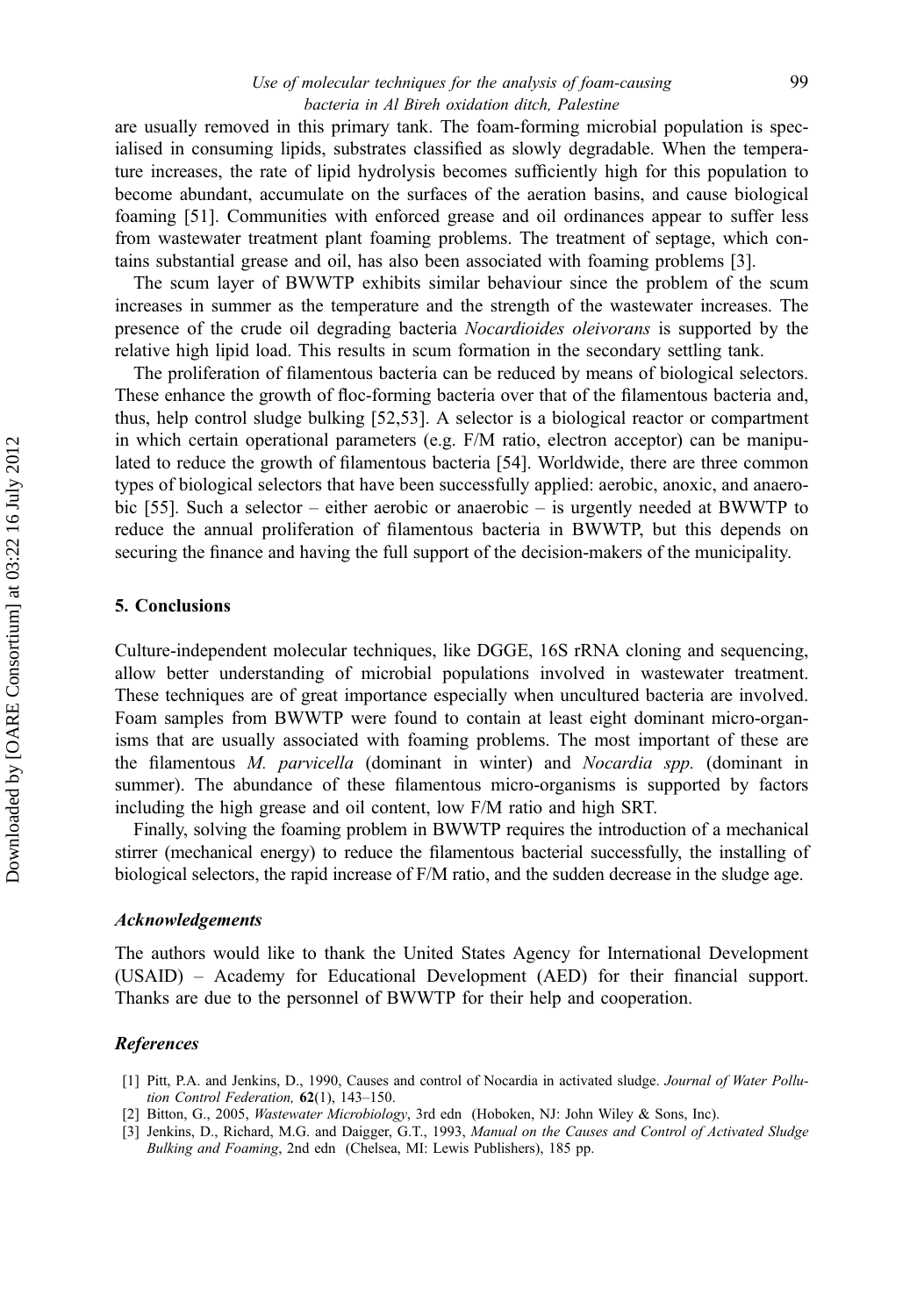#### Use of molecular techniques for the analysis of foam-causing bacteria in Al Bireh oxidation ditch, Palestine

are usually removed in this primary tank. The foam-forming microbial population is specialised in consuming lipids, substrates classified as slowly degradable. When the temperature increases, the rate of lipid hydrolysis becomes sufficiently high for this population to become abundant, accumulate on the surfaces of the aeration basins, and cause biological foaming [51]. Communities with enforced grease and oil ordinances appear to suffer less from wastewater treatment plant foaming problems. The treatment of septage, which contains substantial grease and oil, has also been associated with foaming problems [3].

The scum layer of BWWTP exhibits similar behaviour since the problem of the scum increases in summer as the temperature and the strength of the wastewater increases. The presence of the crude oil degrading bacteria Nocardioides oleivorans is supported by the relative high lipid load. This results in scum formation in the secondary settling tank.

The proliferation of filamentous bacteria can be reduced by means of biological selectors. These enhance the growth of floc-forming bacteria over that of the filamentous bacteria and, thus, help control sludge bulking [52,53]. A selector is a biological reactor or compartment in which certain operational parameters (e.g. F/M ratio, electron acceptor) can be manipulated to reduce the growth of filamentous bacteria [54]. Worldwide, there are three common types of biological selectors that have been successfully applied: aerobic, anoxic, and anaerobic [55]. Such a selector – either aerobic or anaerobic – is urgently needed at BWWTP to reduce the annual proliferation of filamentous bacteria in BWWTP, but this depends on securing the finance and having the full support of the decision-makers of the municipality.

# 5. Conclusions

Culture-independent molecular techniques, like DGGE, 16S rRNA cloning and sequencing, allow better understanding of microbial populations involved in wastewater treatment. These techniques are of great importance especially when uncultured bacteria are involved. Foam samples from BWWTP were found to contain at least eight dominant micro-organisms that are usually associated with foaming problems. The most important of these are the filamentous M. parvicella (dominant in winter) and Nocardia spp. (dominant in summer). The abundance of these filamentous micro-organisms is supported by factors including the high grease and oil content, low F/M ratio and high SRT.

Finally, solving the foaming problem in BWWTP requires the introduction of a mechanical stirrer (mechanical energy) to reduce the filamentous bacterial successfully, the installing of biological selectors, the rapid increase of F/M ratio, and the sudden decrease in the sludge age.

#### Acknowledgements

The authors would like to thank the United States Agency for International Development (USAID) – Academy for Educational Development (AED) for their financial support. Thanks are due to the personnel of BWWTP for their help and cooperation.

#### References

- [1] Pitt, P.A. and Jenkins, D., 1990, Causes and control of Nocardia in activated sludge. Journal of Water Pollution Control Federation,  $62(1)$ , 143-150.
- [2] Bitton, G., 2005, Wastewater Microbiology, 3rd edn (Hoboken, NJ: John Wiley & Sons, Inc).
- [3] Jenkins, D., Richard, M.G. and Daigger, G.T., 1993, Manual on the Causes and Control of Activated Sludge Bulking and Foaming, 2nd edn (Chelsea, MI: Lewis Publishers), 185 pp.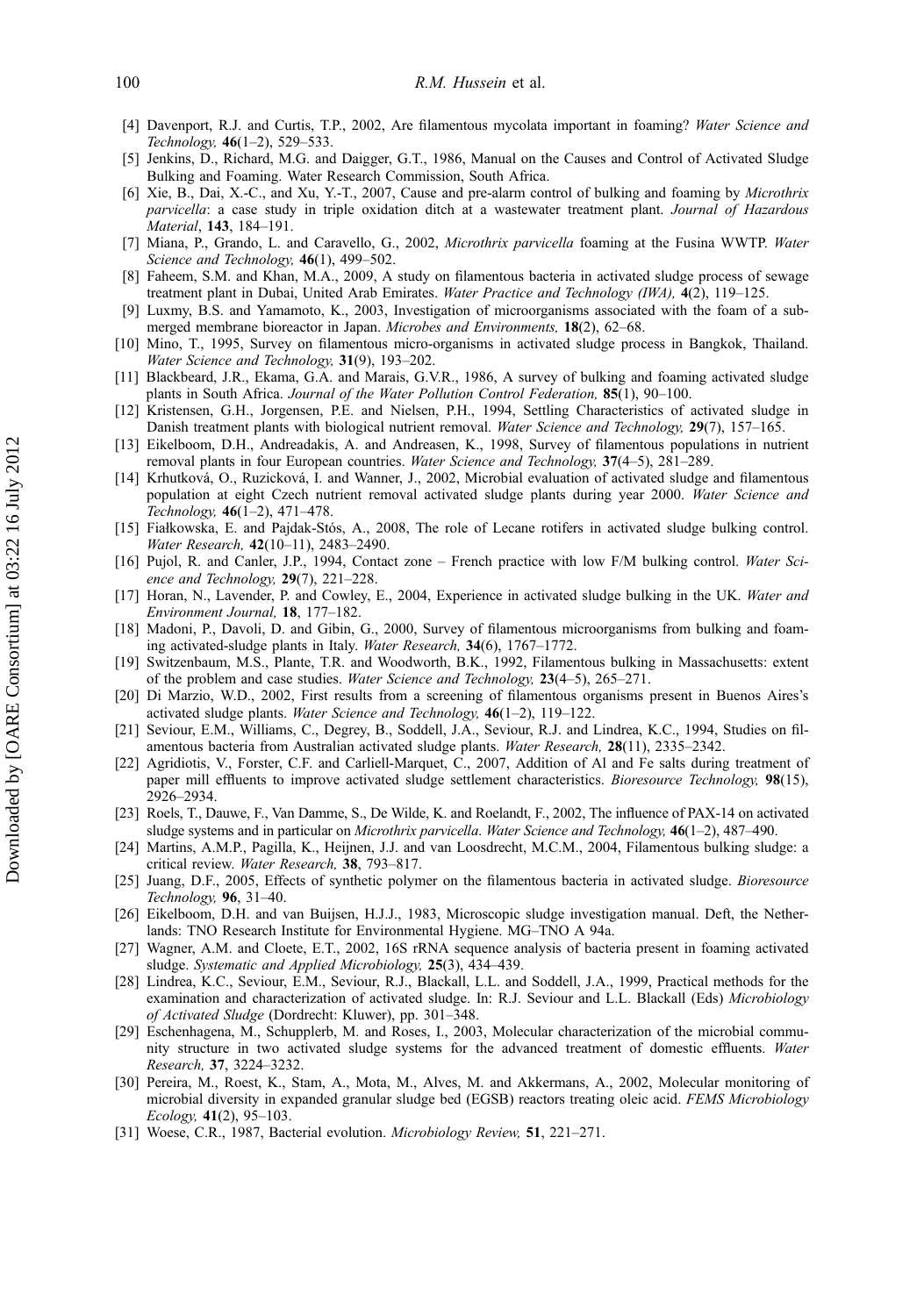- [4] Davenport, R.J. and Curtis, T.P., 2002, Are filamentous mycolata important in foaming? Water Science and Technology, 46(1–2), 529–533.
- [5] Jenkins, D., Richard, M.G. and Daigger, G.T., 1986, Manual on the Causes and Control of Activated Sludge Bulking and Foaming. Water Research Commission, South Africa.
- [6] Xie, B., Dai, X.-C., and Xu, Y.-T., 2007, Cause and pre-alarm control of bulking and foaming by Microthrix parvicella: a case study in triple oxidation ditch at a wastewater treatment plant. Journal of Hazardous Material, 143, 184–191.
- [7] Miana, P., Grando, L. and Caravello, G., 2002, Microthrix parvicella foaming at the Fusina WWTP. Water Science and Technology, 46(1), 499–502.
- [8] Faheem, S.M. and Khan, M.A., 2009, A study on filamentous bacteria in activated sludge process of sewage treatment plant in Dubai, United Arab Emirates. Water Practice and Technology (IWA), 4(2), 119–125.
- [9] Luxmy, B.S. and Yamamoto, K., 2003, Investigation of microorganisms associated with the foam of a submerged membrane bioreactor in Japan. Microbes and Environments, 18(2), 62–68.
- [10] Mino, T., 1995, Survey on filamentous micro-organisms in activated sludge process in Bangkok, Thailand. Water Science and Technology, 31(9), 193–202.
- [11] Blackbeard, J.R., Ekama, G.A. and Marais, G.V.R., 1986, A survey of bulking and foaming activated sludge plants in South Africa. Journal of the Water Pollution Control Federation, 85(1), 90-100.
- [12] Kristensen, G.H., Jorgensen, P.E. and Nielsen, P.H., 1994, Settling Characteristics of activated sludge in Danish treatment plants with biological nutrient removal. Water Science and Technology, 29(7), 157–165.
- [13] Eikelboom, D.H., Andreadakis, A. and Andreasen, K., 1998, Survey of filamentous populations in nutrient removal plants in four European countries. Water Science and Technology, 37(4–5), 281–289.
- [14] Krhutková, O., Ruzicková, I. and Wanner, J., 2002, Microbial evaluation of activated sludge and filamentous population at eight Czech nutrient removal activated sludge plants during year 2000. Water Science and Technology, 46(1–2), 471–478.
- [15] Fiałkowska, E. and Pajdak-Stós, A., 2008, The role of Lecane rotifers in activated sludge bulking control. Water Research, 42(10–11), 2483–2490.
- [16] Pujol, R. and Canler, J.P., 1994, Contact zone French practice with low F/M bulking control. Water Science and Technology, 29(7), 221–228.
- Horan, N., Lavender, P. and Cowley, E., 2004, Experience in activated sludge bulking in the UK. Water and Environment Journal, 18, 177–182.
- [18] Madoni, P., Davoli, D. and Gibin, G., 2000, Survey of filamentous microorganisms from bulking and foaming activated-sludge plants in Italy. Water Research, 34(6), 1767–1772.
- [19] Switzenbaum, M.S., Plante, T.R. and Woodworth, B.K., 1992, Filamentous bulking in Massachusetts: extent of the problem and case studies. Water Science and Technology, 23(4–5), 265–271.
- [20] Di Marzio, W.D., 2002, First results from a screening of filamentous organisms present in Buenos Aires's activated sludge plants. Water Science and Technology, 46(1–2), 119–122.
- [21] Seviour, E.M., Williams, C., Degrey, B., Soddell, J.A., Seviour, R.J. and Lindrea, K.C., 1994, Studies on filamentous bacteria from Australian activated sludge plants. Water Research, 28(11), 2335-2342.
- [22] Agridiotis, V., Forster, C.F. and Carliell-Marquet, C., 2007, Addition of Al and Fe salts during treatment of paper mill effluents to improve activated sludge settlement characteristics. Bioresource Technology, 98(15), 2926–2934.
- [23] Roels, T., Dauwe, F., Van Damme, S., De Wilde, K. and Roelandt, F., 2002, The influence of PAX-14 on activated sludge systems and in particular on Microthrix parvicella. Water Science and Technology, 46(1–2), 487–490.
- [24] Martins, A.M.P., Pagilla, K., Heijnen, J.J. and van Loosdrecht, M.C.M., 2004, Filamentous bulking sludge: a critical review. Water Research, 38, 793–817.
- [25] Juang, D.F., 2005, Effects of synthetic polymer on the filamentous bacteria in activated sludge. Bioresource Technology, 96, 31–40.
- [26] Eikelboom, D.H. and van Buijsen, H.J.J., 1983, Microscopic sludge investigation manual. Deft, the Netherlands: TNO Research Institute for Environmental Hygiene. MG–TNO A 94a.
- [27] Wagner, A.M. and Cloete, E.T., 2002, 16S rRNA sequence analysis of bacteria present in foaming activated sludge. Systematic and Applied Microbiology, 25(3), 434–439.
- [28] Lindrea, K.C., Seviour, E.M., Seviour, R.J., Blackall, L.L. and Soddell, J.A., 1999, Practical methods for the examination and characterization of activated sludge. In: R.J. Seviour and L.L. Blackall (Eds) Microbiology of Activated Sludge (Dordrecht: Kluwer), pp. 301–348.
- [29] Eschenhagena, M., Schupplerb, M. and Roses, I., 2003, Molecular characterization of the microbial community structure in two activated sludge systems for the advanced treatment of domestic effluents. Water Research, 37, 3224–3232.
- [30] Pereira, M., Roest, K., Stam, A., Mota, M., Alves, M. and Akkermans, A., 2002, Molecular monitoring of microbial diversity in expanded granular sludge bed (EGSB) reactors treating oleic acid. FEMS Microbiology Ecology, 41(2), 95–103.
- [31] Woese, C.R., 1987, Bacterial evolution. Microbiology Review, 51, 221-271.